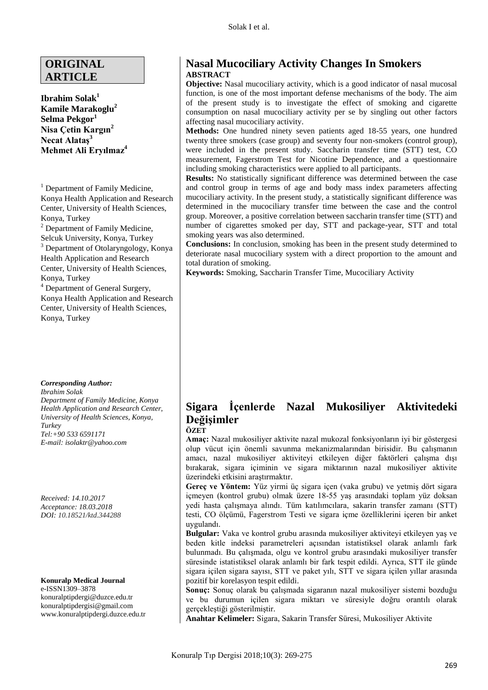# **ORIGINAL ARTICLE**

**Ibrahim Solak<sup>1</sup> Kamile Marakoglu<sup>2</sup> Selma Pekgor<sup>1</sup> Nisa Çetin Kargın<sup>2</sup> Necat Alataş<sup>3</sup> Mehmet Ali Eryılmaz<sup>4</sup>**

<sup>1</sup> Department of Family Medicine, Konya Health Application and Research Center, University of Health Sciences, Konya, Turkey <sup>2</sup> Department of Family Medicine, Selcuk University, Konya, Turkey <sup>3</sup> Department of Otolaryngology, Konya Health Application and Research Center, University of Health Sciences, Konya, Turkey <sup>4</sup> Department of General Surgery, Konya Health Application and Research Center, University of Health Sciences, Konya, Turkey

*Corresponding Author:* 

*Ibrahim Solak Department of Family Medicine, Konya Health Application and Research Center, University of Health Sciences, Konya, Turkey Tel:+90 533 6591171 E-mail: isolaktr@yahoo.com*

*Received: 14.10.2017 Acceptance: 18.03.2018 DOI: 10.18521/ktd.344288*

#### **Konuralp Medical Journal**

e-ISSN1309–3878 konuralptipdergi@duzce.edu.tr konuralptipdergisi@gmail.com [www.konuralptipdergi.duzce.edu.tr](http://www.konuralptipdergi.duzce.edu.tr/)

## **Nasal Mucociliary Activity Changes In Smokers ABSTRACT**

**Objective:** Nasal mucociliary activity, which is a good indicator of nasal mucosal function, is one of the most important defense mechanisms of the body. The aim of the present study is to investigate the effect of smoking and cigarette consumption on nasal mucociliary activity per se by singling out other factors affecting nasal mucociliary activity.

**Methods:** One hundred ninety seven patients aged 18-55 years, one hundred twenty three smokers (case group) and seventy four non-smokers (control group), were included in the present study. Saccharin transfer time (STT) test, CO measurement, Fagerstrom Test for Nicotine Dependence, and a questionnaire including smoking characteristics were applied to all participants.

**Results:** No statistically significant difference was determined between the case and control group in terms of age and body mass index parameters affecting mucociliary activity. In the present study, a statistically significant difference was determined in the mucociliary transfer time between the case and the control group. Moreover, a positive correlation between saccharin transfer time (STT) and number of cigarettes smoked per day, STT and package-year, STT and total smoking years was also determined.

**Conclusions:** In conclusion, smoking has been in the present study determined to deteriorate nasal mucociliary system with a direct proportion to the amount and total duration of smoking.

**Keywords:** Smoking, Saccharin Transfer Time, Mucociliary Activity

# **Sigara İçenlerde Nazal Mukosiliyer Aktivitedeki Değişimler**

#### **ÖZET**

**Amaç:** Nazal mukosiliyer aktivite nazal mukozal fonksiyonların iyi bir göstergesi olup vücut için önemli savunma mekanizmalarından birisidir. Bu çalışmanın amacı, nazal mukosiliyer aktiviteyi etkileyen diğer faktörleri çalışma dışı bırakarak, sigara içiminin ve sigara miktarının nazal mukosiliyer aktivite üzerindeki etkisini araştırmaktır.

**Gereç ve Yöntem:** Yüz yirmi üç sigara içen (vaka grubu) ve yetmiş dört sigara içmeyen (kontrol grubu) olmak üzere 18-55 yaş arasındaki toplam yüz doksan yedi hasta çalışmaya alındı. Tüm katılımcılara, sakarin transfer zamanı (STT) testi, CO ölçümü, Fagerstrom Testi ve sigara içme özelliklerini içeren bir anket uygulandı.

**Bulgular:** Vaka ve kontrol grubu arasında mukosiliyer aktiviteyi etkileyen yaş ve beden kitle indeksi parametreleri açısından istatistiksel olarak anlamlı fark bulunmadı. Bu çalışmada, olgu ve kontrol grubu arasındaki mukosiliyer transfer süresinde istatistiksel olarak anlamlı bir fark tespit edildi. Ayrıca, STT ile günde sigara içilen sigara sayısı, STT ve paket yılı, STT ve sigara içilen yıllar arasında pozitif bir korelasyon tespit edildi.

**Sonuç:** Sonuç olarak bu çalışmada sigaranın nazal mukosiliyer sistemi bozduğu ve bu durumun içilen sigara miktarı ve süresiyle doğru orantılı olarak gerçekleştiği gösterilmiştir.

**Anahtar Kelimeler:** Sigara, Sakarin Transfer Süresi, Mukosiliyer Aktivite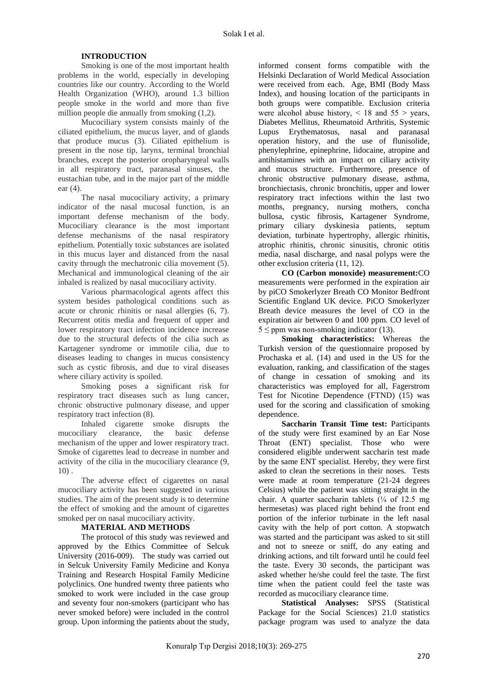## **INTRODUCTION**

Smoking is one of the most important health problems in the world, especially in developing countries like our country. According to the World Health Organization (WHO), around 1.3 billion people smoke in the world and more than five million people die annually from smoking (1,2).

Mucociliary system consists mainly of the ciliated epithelium, the mucus layer, and of glands that produce mucus (3). Ciliated epithelium is present in the nose tip, larynx, terminal bronchial branches, except the posterior oropharyngeal walls in all respiratory tract, paranasal sinuses, the eustachian tube, and in the major part of the middle ear (4).

The nasal mucociliary activity, a primary indicator of the nasal mucosal function, is an important defense mechanism of the body. Mucociliary clearance is the most important defense mechanisms of the nasal respiratory epithelium. Potentially toxic substances are isolated in this mucus layer and distanced from the nasal cavity through the mechatronic cilia movement (5). Mechanical and immunological cleaning of the air inhaled is realized by nasal mucociliary activity.

Various pharmacological agents affect this system besides pathological conditions such as acute or chronic rhinitis or nasal allergies (6, 7). Recurrent otitis media and frequent of upper and lower respiratory tract infection incidence increase due to the structural defects of the cilia such as Kartagener syndrome or immotile cilia, due to diseases leading to changes in mucus consistency such as cystic fibrosis, and due to viral diseases where ciliary activity is spoiled.

Smoking poses a significant risk for respiratory tract diseases such as lung cancer, chronic obstructive pulmonary disease, and upper respiratory tract infection (8).

Inhaled cigarette smoke disrupts the mucociliary clearance, the basic defense mechanism of the upper and lower respiratory tract. Smoke of cigarettes lead to decrease in number and activity of the cilia in the mucociliary clearance (9,  $10$ ).

The adverse effect of cigarettes on nasal mucociliary activity has been suggested in various studies. The aim of the present study is to determine the effect of smoking and the amount of cigarettes smoked per on nasal mucociliary activity.

### **MATERIAL AND METHODS**

The protocol of this study was reviewed and approved by the Ethics Committee of Selcuk University (2016-009). The study was carried out in Selcuk University Family Medicine and Konya Training and Research Hospital Family Medicine polyclinics. One hundred twenty three patients who smoked to work were included in the case group and seventy four non-smokers (participant who has never smoked before) were included in the control group. Upon informing the patients about the study,

informed consent forms compatible with the Helsinki Declaration of World Medical Association were received from each. Age, BMI (Body Mass Index), and housing location of the participants in both groups were compatible. Exclusion criteria were alcohol abuse history,  $\leq 18$  and  $55 > \text{years}$ , Diabetes Mellitus, Rheumatoid Arthritis, Systemic Lupus Erythematosus, nasal and paranasal operation history, and the use of flunisolide, phenylephrine, epinephrine, lidocaine, atropine and antihistamines with an impact on ciliary activity and mucus structure. Furthermore, presence of chronic obstructive pulmonary disease, asthma, bronchiectasis, chronic bronchitis, upper and lower respiratory tract infections within the last two months, pregnancy, nursing mothers, concha bullosa, cystic fibrosis, Kartagener Syndrome, primary ciliary dyskinesia patients, septum deviation, turbinate hypertrophy, allergic rhinitis, atrophic rhinitis, chronic sinusitis, chronic otitis media, nasal discharge, and nasal polyps were the other exclusion criteria (11, 12).

**CO (Carbon monoxide) measurement:**CO measurements were performed in the expiration air by piCO Smokerlyzer Breath CO Monitor Bedfront Scientific England UK device. PiCO Smokerlyzer Breath device measures the level of CO in the expiration air between 0 and 100 ppm. CO level of  $5 \le$  ppm was non-smoking indicator (13).

**Smoking characteristics:** Whereas the Turkish version of the questionnaire proposed by Prochaska et al. (14) and used in the US for the evaluation, ranking, and classification of the stages of change in cessation of smoking and its characteristics was employed for all, Fagerstrom Test for Nicotine Dependence (FTND) (15) was used for the scoring and classification of smoking dependence.

**Saccharin Transit Time test:** Participants of the study were first examined by an Ear Nose Throat (ENT) specialist. Those who were considered eligible underwent saccharin test made by the same ENT specialist. Hereby, they were first asked to clean the secretions in their noses. Tests were made at room temperature (21-24 degrees Celsius) while the patient was sitting straight in the chair. A quarter saccharin tablets  $(\frac{1}{4}$  of 12.5 mg hermesetas) was placed right behind the front end portion of the inferior turbinate in the left nasal cavity with the help of port cotton. A stopwatch was started and the participant was asked to sit still and not to sneeze or sniff, do any eating and drinking actions, and tilt forward until he could feel the taste. Every 30 seconds, the participant was asked whether he/she could feel the taste. The first time when the patient could feel the taste was recorded as mucociliary clearance time.

**Statistical Analyses:** SPSS (Statistical Package for the Social Sciences) 21.0 statistics package program was used to analyze the data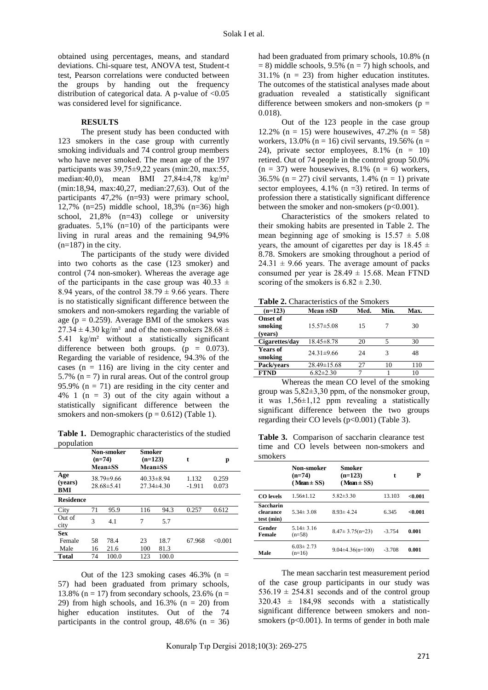obtained using percentages, means, and standard deviations. Chi-square test, ANOVA test, Student-t test, Pearson correlations were conducted between the groups by handing out the frequency distribution of categorical data. A p-value of  $< 0.05$ was considered level for significance.

#### **RESULTS**

The present study has been conducted with 123 smokers in the case group with currently smoking individuals and 74 control group members who have never smoked. The mean age of the 197 participants was 39,75±9,22 years (min:20, max:55, median:40,0), mean BMI 27,84±4,78 kg/m² (min:18,94, max:40,27, median:27,63). Out of the participants 47,2% (n=93) were primary school, 12,7% (n=25) middle school, 18,3% (n=36) high school, 21,8% (n=43) college or university graduates.  $5,1\%$  (n=10) of the participants were living in rural areas and the remaining 94,9%  $(n=187)$  in the city.

The participants of the study were divided into two cohorts as the case (123 smoker) and control (74 non-smoker). Whereas the average age of the participants in the case group was  $40.33 \pm$ 8.94 years, of the control  $38.79 \pm 9.66$  years. There is no statistically significant difference between the smokers and non-smokers regarding the variable of age ( $p = 0.259$ ). Average BMI of the smokers was  $27.34 \pm 4.30$  kg/m<sup>2</sup> and of the non-smokers  $28.68 \pm 1.30$ 5.41 kg/m² without a statistically significant difference between both groups.  $(p = 0.073)$ . Regarding the variable of residence, 94.3% of the cases  $(n = 116)$  are living in the city center and 5.7% ( $n = 7$ ) in rural areas. Out of the control group 95.9% ( $n = 71$ ) are residing in the city center and 4% 1 ( $n = 3$ ) out of the city again without a statistically significant difference between the smokers and non-smokers ( $p = 0.612$ ) (Table 1).

**Table 1.** Demographic characteristics of the studied population

|                       | $(n=74)$                           | Non-smoker<br><b>Mean±SS</b> | Smoker<br>$(n=123)$<br><b>Mean±SS</b> |                                    | t                 | p              |
|-----------------------|------------------------------------|------------------------------|---------------------------------------|------------------------------------|-------------------|----------------|
| Age<br>(years)<br>BMI | $38.79 \pm 9.66$<br>$28.68\pm5.41$ |                              |                                       | $40.33 \pm 8.94$<br>$27.34\pm4.30$ | 1.132<br>$-1.911$ | 0.259<br>0.073 |
| <b>Residence</b>      |                                    |                              |                                       |                                    |                   |                |
| City                  | 71                                 | 95.9                         | 116                                   | 94.3                               | 0.257             | 0.612          |
| Out of<br>city        | 3                                  | 4.1                          | 7                                     | 5.7                                |                   |                |
| <b>Sex</b>            |                                    |                              |                                       |                                    |                   |                |
| Female                | 58                                 | 78.4                         | 23                                    | 18.7                               | 67.968            | < 0.001        |
| Male                  | 16                                 | 21.6                         | 100                                   | 81.3                               |                   |                |
| Total                 | 74                                 | 100.0                        | 123                                   | 100.0                              |                   |                |

Out of the 123 smoking cases  $46.3\%$  (n = 57) had been graduated from primary schools, 13.8% ( $n = 17$ ) from secondary schools, 23.6% ( $n =$ 29) from high schools, and  $16.3\%$  (n = 20) from higher education institutes. Out of the 74 participants in the control group,  $48.6\%$  (n = 36)

had been graduated from primary schools, 10.8% (n  $= 8$ ) middle schools, 9.5% (n  $= 7$ ) high schools, and 31.1% (n = 23) from higher education institutes. The outcomes of the statistical analyses made about graduation revealed a statistically significant difference between smokers and non-smokers ( $p =$ 0.018).

Out of the 123 people in the case group 12.2% ( $n = 15$ ) were housewives, 47.2% ( $n = 58$ ) workers, 13.0% (n = 16) civil servants, 19.56% (n = 24), private sector employees, 8.1% (n = 10) retired. Out of 74 people in the control group 50.0%  $(n = 37)$  were housewives, 8.1%  $(n = 6)$  workers, 36.5% ( $n = 27$ ) civil servants, 1.4% ( $n = 1$ ) private sector employees,  $4.1\%$  (n = 3) retired. In terms of profession there a statistically significant difference between the smoker and non-smokers (p<0.001).

Characteristics of the smokers related to their smoking habits are presented in Table 2. The mean beginning age of smoking is  $15.57 \pm 5.08$ years, the amount of cigarettes per day is  $18.45 \pm$ 8.78. Smokers are smoking throughout a period of  $24.31 \pm 9.66$  years. The average amount of packs consumed per year is  $28.49 \pm 15.68$ . Mean FTND scoring of the smokers is  $6.82 \pm 2.30$ .

**Table 2.** Characteristics of the Smokers

| $(n=123)$       | Mean $\pm SD$    | Med. | Min. | Max. |  |  |  |
|-----------------|------------------|------|------|------|--|--|--|
| <b>Onset of</b> |                  |      |      |      |  |  |  |
| smoking         | $15.57 \pm 5.08$ | 15   |      | 30   |  |  |  |
| (vears)         |                  |      |      |      |  |  |  |
| Cigarettes/day  | $18.45 \pm 8.78$ | 20   |      | 30   |  |  |  |
| Years of        | $24.31\pm9.66$   | 24   | 3    | 48   |  |  |  |
| smoking         |                  |      |      |      |  |  |  |
| Pack/vears      | 28.49±15.68      | 27   | 10   | 110  |  |  |  |
| <b>FTND</b>     | $6.82 \pm 2.30$  | 7    |      | 10   |  |  |  |

Whereas the mean CO level of the smoking group was  $5.82 \pm 3.30$  ppm, of the nonsmoker group. it was 1,56±1,12 ppm revealing a statistically significant difference between the two groups regarding their CO levels  $(p<0.001)$  (Table 3).

Table 3. Comparison of saccharin clearance test time and CO levels between non-smokers and smokers

| Non-smoker<br>$(n=74)$<br>$(Mean \pm SS)$ | Smoker<br>$(n=123)$<br>$(Mean \pm SS)$ | t        | P       |
|-------------------------------------------|----------------------------------------|----------|---------|
| $1.56 \pm 1.12$                           | $5.82 \pm 3.30$                        | 13.103   | < 0.001 |
| $5.34 \pm 3.08$                           | $8.93 \pm 4.24$                        | 6.345    | < 0.001 |
| $5.14 \pm 3.16$<br>$(n=58)$               | $8.47 \pm 3.75(n=23)$                  | $-3.754$ | 0.001   |
| $6.03 \pm 2.73$<br>$(n=16)$               | $9.04\pm4.36(n=100)$                   | $-3.708$ | 0.001   |
|                                           |                                        |          |         |

The mean saccharin test measurement period of the case group participants in our study was  $536.19 \pm 254.81$  seconds and of the control group  $320.43 \pm 184.98$  seconds with a statistically significant difference between smokers and nonsmokers  $(p<0.001)$ . In terms of gender in both male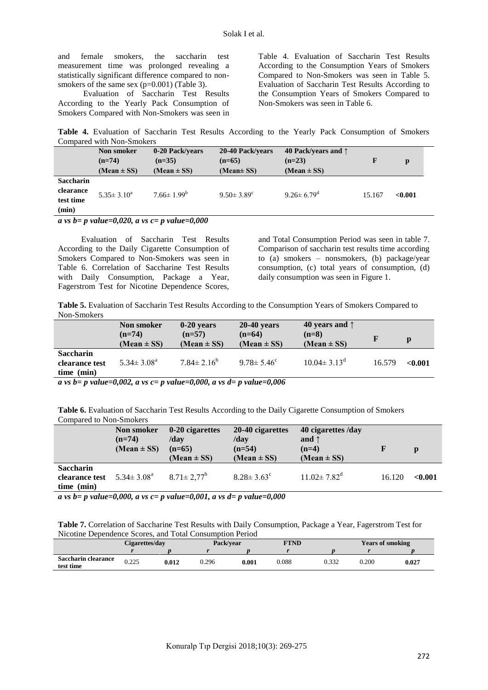and female smokers, the saccharin test measurement time was prolonged revealing a statistically significant difference compared to nonsmokers of the same sex (p=0.001) (Table 3).

Evaluation of Saccharin Test Results According to the Yearly Pack Consumption of Smokers Compared with Non-Smokers was seen in Table 4. Evaluation of Saccharin Test Results According to the Consumption Years of Smokers Compared to Non-Smokers was seen in Table 5. Evaluation of Saccharin Test Results According to the Consumption Years of Smokers Compared to Non-Smokers was seen in Table 6.

**Table 4.** Evaluation of Saccharin Test Results According to the Yearly Pack Consumption of Smokers Compared with Non-Smokers

|                                                     | Non smoker<br>$(n=74)$ | 0-20 Pack/vears<br>$(n=35)$ | 20-40 Pack/vears<br>$(n=65)$ | 40 Pack/vears and $\uparrow$<br>$(n=23)$ | F      | p       |
|-----------------------------------------------------|------------------------|-----------------------------|------------------------------|------------------------------------------|--------|---------|
|                                                     | (Mean $\pm$ SS)        | $(Mean \pm SS)$             | (Mean $\pm$ SS)              | $(Mean \pm SS)$                          |        |         |
| <b>Saccharin</b><br>clearance<br>test time<br>(min) | $5.35 \pm 3.10^a$      | $7.66 \pm 1.99^b$           | $9.50 \pm 3.89$ <sup>c</sup> | $9.26 \pm 6.79$ <sup>d</sup>             | 15.167 | < 0.001 |

*a vs b= p value=0,020, a vs c= p value=0,000*

Evaluation of Saccharin Test Results According to the Daily Cigarette Consumption of Smokers Compared to Non-Smokers was seen in Table 6. Correlation of Saccharine Test Results with Daily Consumption, Package a Year, Fagerstrom Test for Nicotine Dependence Scores, and Total Consumption Period was seen in table 7. Comparison of saccharin test results time according to (a) smokers – nonsmokers, (b) package/year consumption, (c) total years of consumption, (d) daily consumption was seen in Figure 1.

**Table 5.** Evaluation of Saccharin Test Results According to the Consumption Years of Smokers Compared to Non-Smokers

|                                                  | Non smoker<br>$(n=74)$<br>$(Mean \pm SS)$                                          | $0-20$ years<br>$(n=57)$<br>(Mean $\pm$ SS) | $20-40$ years<br>$(n=64)$<br>$(Mean \pm SS)$ | 40 years and $\uparrow$<br>$(n=8)$<br>$(Mean \pm SS)$ |        | p       |
|--------------------------------------------------|------------------------------------------------------------------------------------|---------------------------------------------|----------------------------------------------|-------------------------------------------------------|--------|---------|
| <b>Saccharin</b><br>clearance test<br>time (min) | $5.34 \pm 3.08^{\text{a}}$                                                         | $7.84 \pm 2.16^b$                           | $9.78 \pm 5.46^{\circ}$                      | $10.04 \pm 3.13$ <sup>d</sup>                         | 16.579 | < 0.001 |
|                                                  | $\mathbf{1}$ $\mathbf{1}$ 0.000 $\mathbf{1}$ 0.000 $\mathbf{1}$ $\mathbf{1}$ 0.000 |                                             |                                              |                                                       |        |         |

*a vs b= p value=0,002, a vs c= p value=0,000, a vs d= p value=0,006*

Table 6. Evaluation of Saccharin Test Results According to the Daily Cigarette Consumption of Smokers Compared to Non-Smokers

|                                                  | <b>Non smoker</b><br>$(n=74)$<br>$(Mean \pm SS)$ | 0-20 cigarettes<br>/dav<br>$(n=65)$<br>$(Mean \pm SS)$ | 20-40 cigarettes<br>/day<br>$(n=54)$<br>$(Mean \pm SS)$ | 40 cigarettes /day<br>and $\uparrow$<br>$(n=4)$<br>(Mean $\pm$ SS) |        | p       |
|--------------------------------------------------|--------------------------------------------------|--------------------------------------------------------|---------------------------------------------------------|--------------------------------------------------------------------|--------|---------|
| <b>Saccharin</b><br>clearance test<br>time (min) | $5.34 \pm 3.08^{\text{a}}$                       | $8.71 \pm 2.77^b$                                      | $8.28 \pm 3.63^{\circ}$                                 | $11.02 \pm 7.82$ <sup>d</sup>                                      | 16.120 | < 0.001 |

*a vs b= p value=0,000, a vs c= p value=0,001, a vs d= p value=0,000*

**Table 7.** Correlation of Saccharine Test Results with Daily Consumption, Package a Year, Fagerstrom Test for Nicotine Dependence Scores, and Total Consumption Period

|                                  | Cigarettes/day          |       | <b>FTND</b><br>Pack/vear |       | <b>Years of smoking</b> |       |       |       |
|----------------------------------|-------------------------|-------|--------------------------|-------|-------------------------|-------|-------|-------|
|                                  |                         |       |                          |       |                         |       |       |       |
| Saccharin clearance<br>test time | 0.225<br>0. <i>44</i> J | 0.012 | 0.296                    | 0.001 | 0.088                   | 0.332 | 0.200 | 0.027 |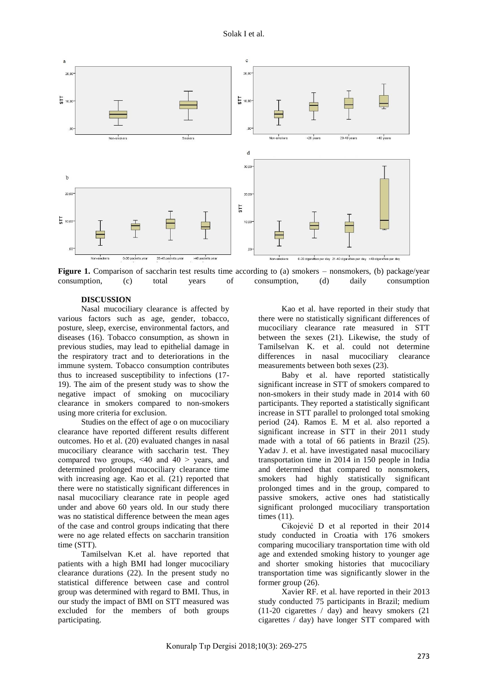

**Figure 1.** Comparison of saccharin test results time according to (a) smokers – nonsmokers, (b) package/year consumption, (c) total years of consumption, (d) daily consumption

#### **DISCUSSION**

Nasal mucociliary clearance is affected by various factors such as age, gender, tobacco, posture, sleep, exercise, environmental factors, and diseases (16). Tobacco consumption, as shown in previous studies, may lead to epithelial damage in the respiratory tract and to deteriorations in the immune system. Tobacco consumption contributes thus to increased susceptibility to infections (17- 19). The aim of the present study was to show the negative impact of smoking on mucociliary clearance in smokers compared to non-smokers using more criteria for exclusion.

Studies on the effect of age o on mucociliary clearance have reported different results different outcomes. Ho et al. (20) evaluated changes in nasal mucociliary clearance with saccharin test. They compared two groups,  $\leq 40$  and  $40 >$  years, and determined prolonged mucociliary clearance time with increasing age. Kao et al. (21) reported that there were no statistically significant differences in nasal mucociliary clearance rate in people aged under and above 60 years old. In our study there was no statistical difference between the mean ages of the case and control groups indicating that there were no age related effects on saccharin transition time (STT).

Tamilselvan K.et al. have reported that patients with a high BMI had longer mucociliary clearance durations (22). In the present study no statistical difference between case and control group was determined with regard to BMI. Thus, in our study the impact of BMI on STT measured was excluded for the members of both groups participating.

Kao et al. have reported in their study that there were no statistically significant differences of mucociliary clearance rate measured in STT between the sexes (21). Likewise, the study of Tamilselvan K. et al. could not determine differences in nasal mucociliary clearance measurements between both sexes (23).

Baby et al. have reported statistically significant increase in STT of smokers compared to non-smokers in their study made in 2014 with 60 participants. They reported a statistically significant increase in STT parallel to prolonged total smoking period (24). Ramos E. M et al. also reported a significant increase in STT in their 2011 study made with a total of 66 patients in Brazil (25). Yadav J. et al. have investigated nasal mucociliary transportation time in 2014 in 150 people in India and determined that compared to nonsmokers, smokers had highly statistically significant prolonged times and in the group, compared to passive smokers, active ones had statistically significant prolonged mucociliary transportation times (11).

Cikojević D et al reported in their 2014 study conducted in Croatia with 176 smokers comparing mucociliary transportation time with old age and extended smoking history to younger age and shorter smoking histories that mucociliary transportation time was significantly slower in the former group (26).

Xavier RF. et al. have reported in their 2013 study conducted 75 participants in Brazil; medium (11-20 cigarettes / day) and heavy smokers (21 cigarettes / day) have longer STT compared with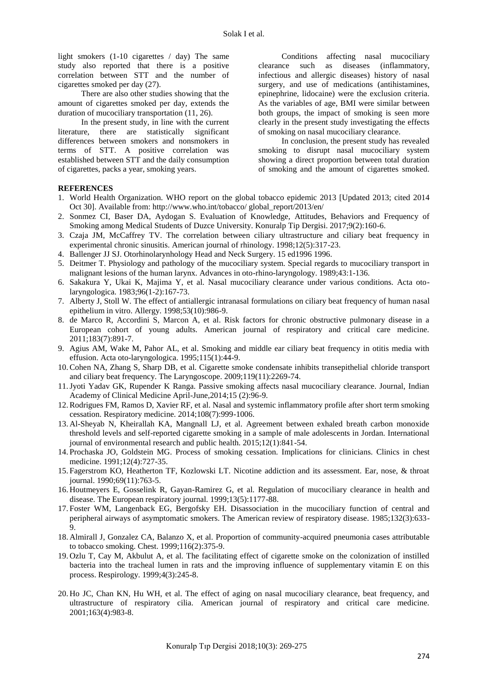light smokers (1-10 cigarettes / day) The same study also reported that there is a positive correlation between STT and the number of cigarettes smoked per day (27).

There are also other studies showing that the amount of cigarettes smoked per day, extends the duration of mucociliary transportation (11, 26).

In the present study, in line with the current literature, there are statistically significant differences between smokers and nonsmokers in terms of STT. A positive correlation was established between STT and the daily consumption of cigarettes, packs a year, smoking years.

Conditions affecting nasal mucociliary clearance such as diseases (inflammatory, infectious and allergic diseases) history of nasal surgery, and use of medications (antihistamines, epinephrine, lidocaine) were the exclusion criteria. As the variables of age, BMI were similar between both groups, the impact of smoking is seen more clearly in the present study investigating the effects of smoking on nasal mucociliary clearance.

In conclusion, the present study has revealed smoking to disrupt nasal mucociliary system showing a direct proportion between total duration of smoking and the amount of cigarettes smoked.

### **REFERENCES**

- 1. World Health Organization. WHO report on the global tobacco epidemic 2013 [Updated 2013; cited 2014 Oct 30]. Available from: http://www.who.int/tobacco/ global\_report/2013/en/
- 2. Sonmez CI, Baser DA, Aydogan S. Evaluation of Knowledge, Attitudes, Behaviors and Frequency of Smoking among Medical Students of Duzce University. Konuralp Tip Dergisi. 2017;9(2):160-6.
- 3. Czaja JM, McCaffrey TV. The correlation between ciliary ultrastructure and ciliary beat frequency in experimental chronic sinusitis. American journal of rhinology. 1998;12(5):317-23.
- 4. Ballenger JJ SJ. Otorhinolarynhology Head and Neck Surgery. 15 ed1996 1996.
- 5. Deitmer T. Physiology and pathology of the mucociliary system. Special regards to mucociliary transport in malignant lesions of the human larynx. Advances in oto-rhino-laryngology. 1989;43:1-136.
- 6. Sakakura Y, Ukai K, Majima Y, et al. Nasal mucociliary clearance under various conditions. Acta otolaryngologica. 1983;96(1-2):167-73.
- 7. Alberty J, Stoll W. The effect of antiallergic intranasal formulations on ciliary beat frequency of human nasal epithelium in vitro. Allergy. 1998;53(10):986-9.
- 8. de Marco R, Accordini S, Marcon A, et al. Risk factors for chronic obstructive pulmonary disease in a European cohort of young adults. American journal of respiratory and critical care medicine. 2011;183(7):891-7.
- 9. Agius AM, Wake M, Pahor AL, et al. Smoking and middle ear ciliary beat frequency in otitis media with effusion. Acta oto-laryngologica. 1995;115(1):44-9.
- 10.Cohen NA, Zhang S, Sharp DB, et al. Cigarette smoke condensate inhibits transepithelial chloride transport and ciliary beat frequency. The Laryngoscope. 2009;119(11):2269-74.
- 11.Jyoti Yadav GK, Rupender K Ranga. Passive smoking affects nasal mucociliary clearance. Journal, Indian Academy of Clinical Medicine April-June,2014;15 (2):96-9.
- 12.Rodrigues FM, Ramos D, Xavier RF, et al. Nasal and systemic inflammatory profile after short term smoking cessation. Respiratory medicine. 2014;108(7):999-1006.
- 13. Al-Sheyab N, Kheirallah KA, Mangnall LJ, et al. Agreement between exhaled breath carbon monoxide threshold levels and self-reported cigarette smoking in a sample of male adolescents in Jordan. International journal of environmental research and public health. 2015;12(1):841-54.
- 14. Prochaska JO, Goldstein MG. Process of smoking cessation. Implications for clinicians. Clinics in chest medicine. 1991;12(4):727-35.
- 15. Fagerstrom KO, Heatherton TF, Kozlowski LT. Nicotine addiction and its assessment. Ear, nose, & throat journal. 1990;69(11):763-5.
- 16. Houtmeyers E, Gosselink R, Gayan-Ramirez G, et al. Regulation of mucociliary clearance in health and disease. The European respiratory journal. 1999;13(5):1177-88.
- 17. Foster WM, Langenback EG, Bergofsky EH. Disassociation in the mucociliary function of central and peripheral airways of asymptomatic smokers. The American review of respiratory disease. 1985;132(3):633- 9.
- 18. Almirall J, Gonzalez CA, Balanzo X, et al. Proportion of community-acquired pneumonia cases attributable to tobacco smoking. Chest. 1999;116(2):375-9.
- 19. Ozlu T, Cay M, Akbulut A, et al. The facilitating effect of cigarette smoke on the colonization of instilled bacteria into the tracheal lumen in rats and the improving influence of supplementary vitamin E on this process. Respirology. 1999;4(3):245-8.
- 20. Ho JC, Chan KN, Hu WH, et al. The effect of aging on nasal mucociliary clearance, beat frequency, and ultrastructure of respiratory cilia. American journal of respiratory and critical care medicine. 2001;163(4):983-8.